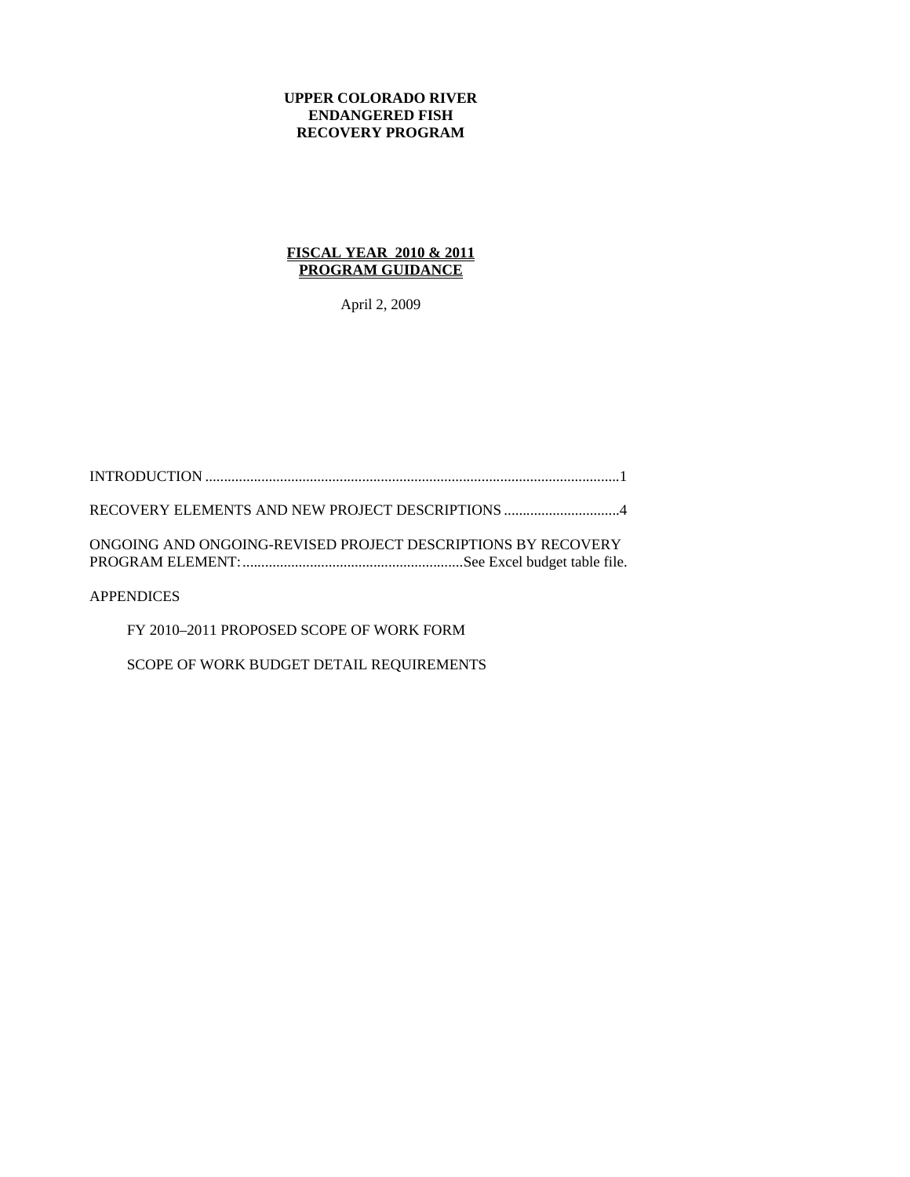## **UPPER COLORADO RIVER ENDANGERED FISH RECOVERY PROGRAM**

## **FISCAL YEAR 2010 & 2011 PROGRAM GUIDANCE**

April 2, 2009

INTRODUCTION ...............................................................................................................1

RECOVERY ELEMENTS AND NEW PROJECT DESCRIPTIONS ...............................4

ONGOING AND ONGOING-REVISED PROJECT DESCRIPTIONS BY RECOVERY PROGRAM ELEMENT:...........................................................See Excel budget table file.

APPENDICES

FY 2010–2011 PROPOSED SCOPE OF WORK FORM

SCOPE OF WORK BUDGET DETAIL REQUIREMENTS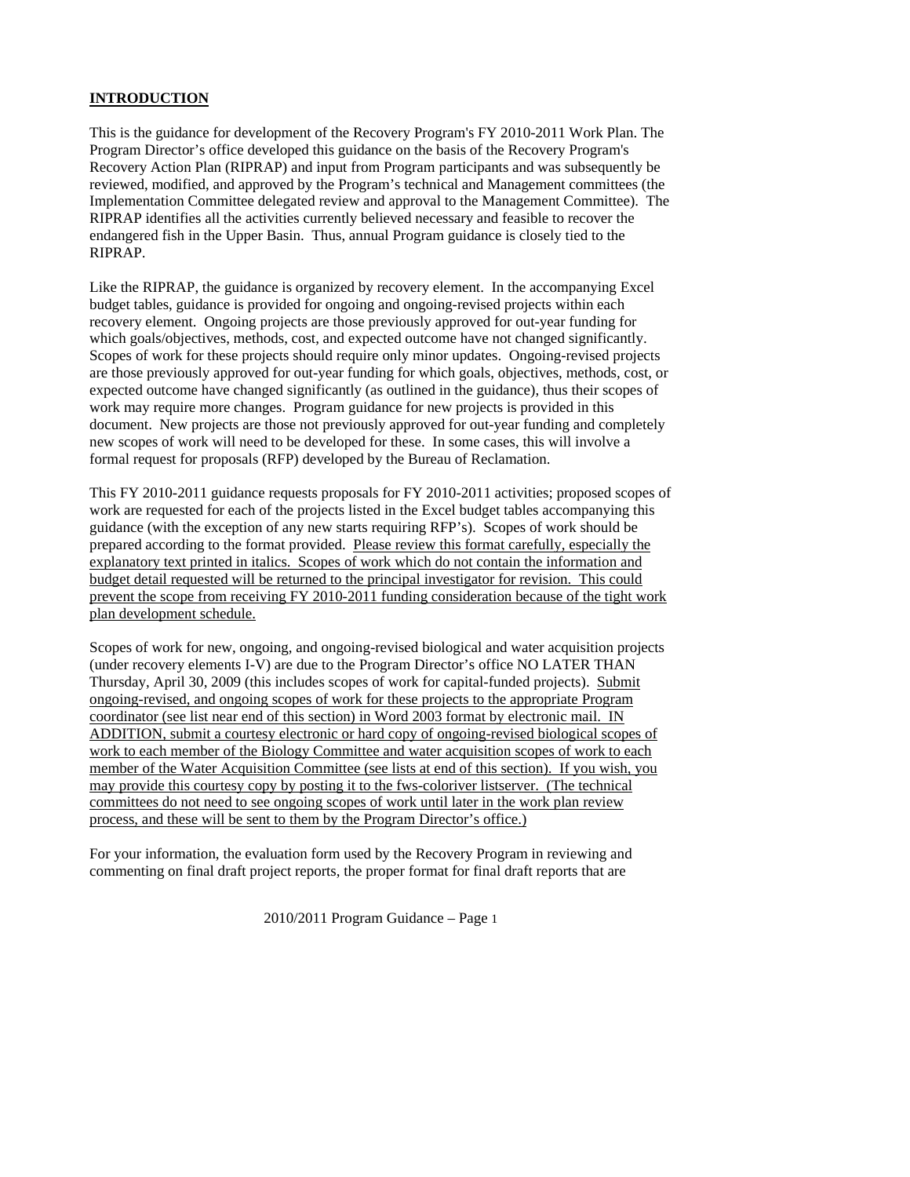# **INTRODUCTION**

This is the guidance for development of the Recovery Program's FY 2010-2011 Work Plan. The Program Director's office developed this guidance on the basis of the Recovery Program's Recovery Action Plan (RIPRAP) and input from Program participants and was subsequently be reviewed, modified, and approved by the Program's technical and Management committees (the Implementation Committee delegated review and approval to the Management Committee). The RIPRAP identifies all the activities currently believed necessary and feasible to recover the endangered fish in the Upper Basin. Thus, annual Program guidance is closely tied to the RIPRAP.

Like the RIPRAP, the guidance is organized by recovery element. In the accompanying Excel budget tables, guidance is provided for ongoing and ongoing-revised projects within each recovery element. Ongoing projects are those previously approved for out-year funding for which goals/objectives, methods, cost, and expected outcome have not changed significantly. Scopes of work for these projects should require only minor updates. Ongoing-revised projects are those previously approved for out-year funding for which goals, objectives, methods, cost, or expected outcome have changed significantly (as outlined in the guidance), thus their scopes of work may require more changes. Program guidance for new projects is provided in this document. New projects are those not previously approved for out-year funding and completely new scopes of work will need to be developed for these. In some cases, this will involve a formal request for proposals (RFP) developed by the Bureau of Reclamation.

This FY 2010-2011 guidance requests proposals for FY 2010-2011 activities; proposed scopes of work are requested for each of the projects listed in the Excel budget tables accompanying this guidance (with the exception of any new starts requiring RFP's). Scopes of work should be prepared according to the format provided. Please review this format carefully, especially the explanatory text printed in italics. Scopes of work which do not contain the information and budget detail requested will be returned to the principal investigator for revision. This could prevent the scope from receiving FY 2010-2011 funding consideration because of the tight work plan development schedule.

Scopes of work for new, ongoing, and ongoing-revised biological and water acquisition projects (under recovery elements I-V) are due to the Program Director's office NO LATER THAN Thursday, April 30, 2009 (this includes scopes of work for capital-funded projects). Submit ongoing-revised, and ongoing scopes of work for these projects to the appropriate Program coordinator (see list near end of this section) in Word 2003 format by electronic mail. IN ADDITION, submit a courtesy electronic or hard copy of ongoing-revised biological scopes of work to each member of the Biology Committee and water acquisition scopes of work to each member of the Water Acquisition Committee (see lists at end of this section). If you wish, you may provide this courtesy copy by posting it to the fws-coloriver listserver. (The technical committees do not need to see ongoing scopes of work until later in the work plan review process, and these will be sent to them by the Program Director's office.)

For your information, the evaluation form used by the Recovery Program in reviewing and commenting on final draft project reports, the proper format for final draft reports that are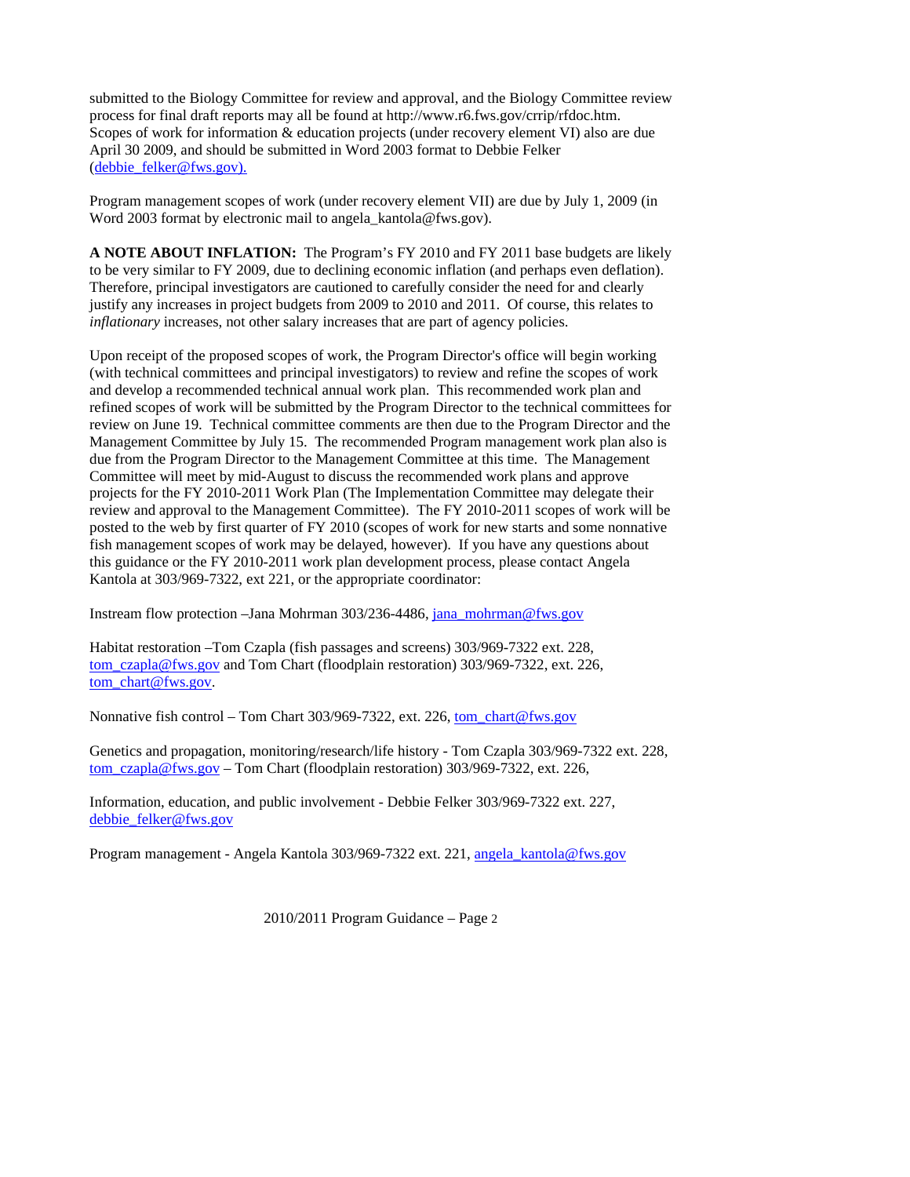submitted to the Biology Committee for review and approval, and the Biology Committee review process for final draft reports may all be found at http://www.r6.fws.gov/crrip/rfdoc.htm. Scopes of work for information & education projects (under recovery element VI) also are due April 30 2009, and should be submitted in Word 2003 format to Debbie Felker (debbie\_felker@fws.gov).

Program management scopes of work (under recovery element VII) are due by July 1, 2009 (in Word 2003 format by electronic mail to angela kantola@fws.gov).

**A NOTE ABOUT INFLATION:** The Program's FY 2010 and FY 2011 base budgets are likely to be very similar to FY 2009, due to declining economic inflation (and perhaps even deflation). Therefore, principal investigators are cautioned to carefully consider the need for and clearly justify any increases in project budgets from 2009 to 2010 and 2011. Of course, this relates to *inflationary* increases, not other salary increases that are part of agency policies.

Upon receipt of the proposed scopes of work, the Program Director's office will begin working (with technical committees and principal investigators) to review and refine the scopes of work and develop a recommended technical annual work plan. This recommended work plan and refined scopes of work will be submitted by the Program Director to the technical committees for review on June 19. Technical committee comments are then due to the Program Director and the Management Committee by July 15. The recommended Program management work plan also is due from the Program Director to the Management Committee at this time. The Management Committee will meet by mid-August to discuss the recommended work plans and approve projects for the FY 2010-2011 Work Plan (The Implementation Committee may delegate their review and approval to the Management Committee). The FY 2010-2011 scopes of work will be posted to the web by first quarter of FY 2010 (scopes of work for new starts and some nonnative fish management scopes of work may be delayed, however). If you have any questions about this guidance or the FY 2010-2011 work plan development process, please contact Angela Kantola at 303/969-7322, ext 221, or the appropriate coordinator:

Instream flow protection –Jana Mohrman 303/236-4486, jana\_mohrman@fws.gov

Habitat restoration –Tom Czapla (fish passages and screens) 303/969-7322 ext. 228, tom\_czapla@fws.gov and Tom Chart (floodplain restoration) 303/969-7322, ext. 226, tom\_chart@fws.gov.

Nonnative fish control – Tom Chart 303/969-7322, ext. 226, tom\_chart@fws.gov

Genetics and propagation, monitoring/research/life history - Tom Czapla 303/969-7322 ext. 228, tom\_czapla@fws.gov – Tom Chart (floodplain restoration) 303/969-7322, ext. 226,

Information, education, and public involvement - Debbie Felker 303/969-7322 ext. 227, debbie\_felker@fws.gov

Program management - Angela Kantola 303/969-7322 ext. 221, angela\_kantola@fws.gov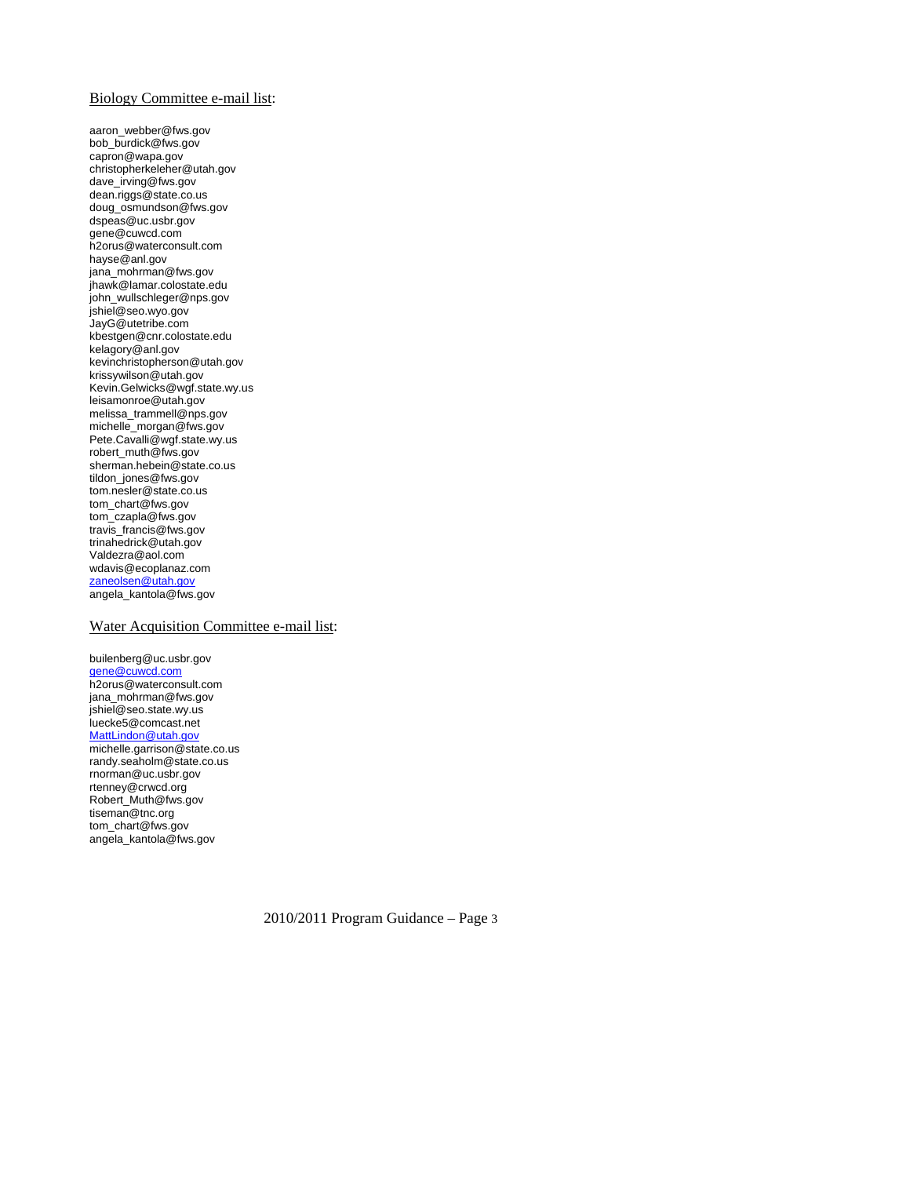#### Biology Committee e-mail list:

aaron\_webber@fws.gov bob\_burdick@fws.gov capron@wapa.gov christopherkeleher@utah.gov dave\_irving@fws.gov dean.riggs@state.co.us doug\_osmundson@fws.gov dspeas@uc.usbr.gov gene@cuwcd.com h2orus@waterconsult.com hayse@anl.gov jana\_mohrman@fws.gov jhawk@lamar.colostate.edu john\_wullschleger@nps.gov jshiel@seo.wyo.gov JayG@utetribe.com kbestgen@cnr.colostate.edu kelagory@anl.gov kevinchristopherson@utah.gov krissywilson@utah.gov Kevin.Gelwicks@wgf.state.wy.us leisamonroe@utah.gov melissa\_trammell@nps.gov michelle\_morgan@fws.gov Pete.Cavalli@wgf.state.wy.us robert\_muth@fws.gov sherman.hebein@state.co.us tildon\_jones@fws.gov tom.nesler@state.co.us tom\_chart@fws.gov tom\_czapla@fws.gov travis\_francis@fws.gov trinahedrick@utah.gov Valdezra@aol.com wdavis@ecoplanaz.com zaneolsen@utah.gov angela\_kantola@fws.gov

#### Water Acquisition Committee e-mail list:

builenberg@uc.usbr.gov gene@cuwcd.com h2orus@waterconsult.com jana\_mohrman@fws.gov jshiel@seo.state.wy.us luecke5@comcast.net MattLindon@utah.gov michelle.garrison@state.co.us randy.seaholm@state.co.us rnorman@uc.usbr.gov rtenney@crwcd.org Robert\_Muth@fws.gov tiseman@tnc.org tom\_chart@fws.gov angela\_kantola@fws.gov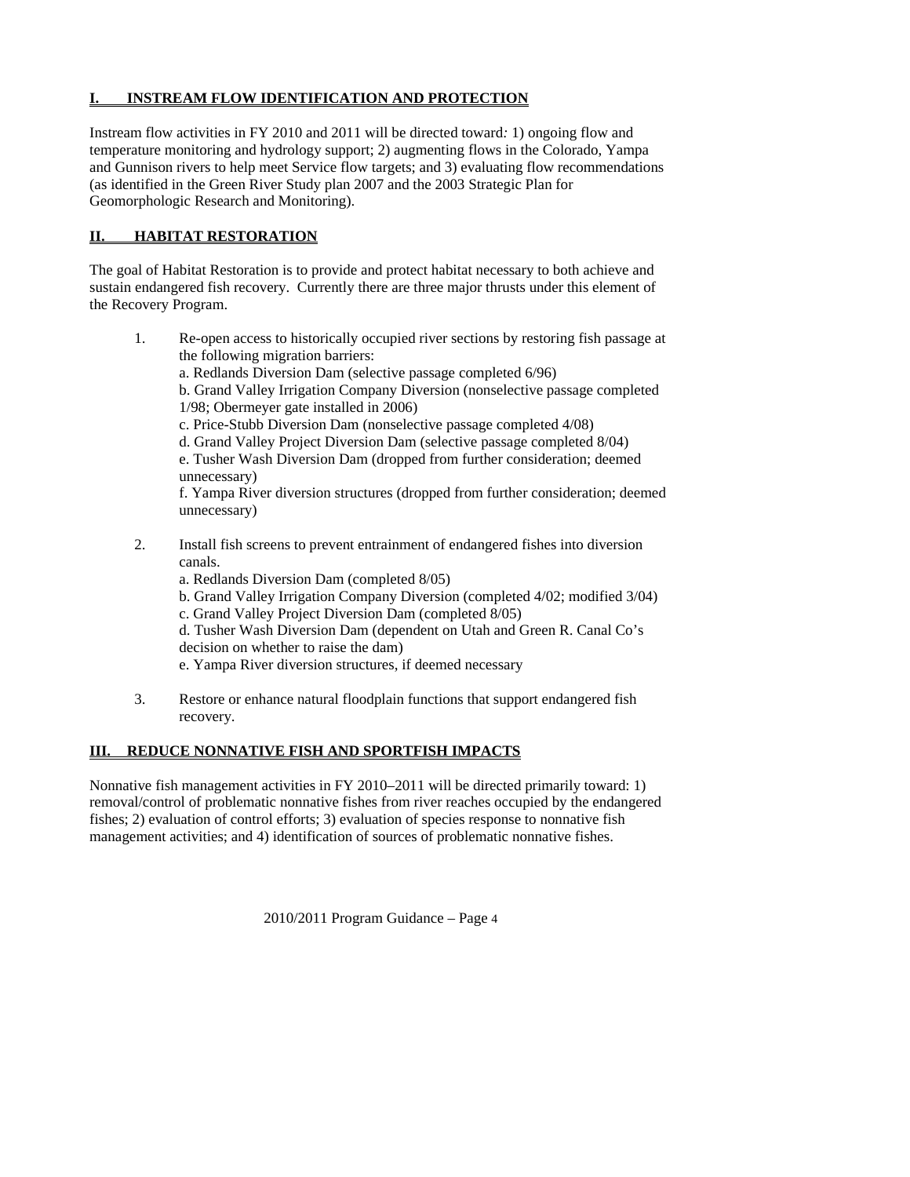# **INSTREAM FLOW IDENTIFICATION AND PROTECTION**

Instream flow activities in FY 2010 and 2011 will be directed toward*:* 1) ongoing flow and temperature monitoring and hydrology support; 2) augmenting flows in the Colorado, Yampa and Gunnison rivers to help meet Service flow targets; and 3) evaluating flow recommendations (as identified in the Green River Study plan 2007 and the 2003 Strategic Plan for Geomorphologic Research and Monitoring).

# **II. HABITAT RESTORATION**

The goal of Habitat Restoration is to provide and protect habitat necessary to both achieve and sustain endangered fish recovery. Currently there are three major thrusts under this element of the Recovery Program.

- 1. Re-open access to historically occupied river sections by restoring fish passage at the following migration barriers:
	- a. Redlands Diversion Dam (selective passage completed 6/96)
	- b. Grand Valley Irrigation Company Diversion (nonselective passage completed 1/98; Obermeyer gate installed in 2006)
	- c. Price-Stubb Diversion Dam (nonselective passage completed 4/08)
	- d. Grand Valley Project Diversion Dam (selective passage completed 8/04)
	- e. Tusher Wash Diversion Dam (dropped from further consideration; deemed unnecessary)

f. Yampa River diversion structures (dropped from further consideration; deemed unnecessary)

- 2. Install fish screens to prevent entrainment of endangered fishes into diversion canals.
	- a. Redlands Diversion Dam (completed 8/05)
	- b. Grand Valley Irrigation Company Diversion (completed 4/02; modified 3/04) c. Grand Valley Project Diversion Dam (completed 8/05)
	- d. Tusher Wash Diversion Dam (dependent on Utah and Green R. Canal Co's decision on whether to raise the dam)
	- e. Yampa River diversion structures, if deemed necessary
- 3. Restore or enhance natural floodplain functions that support endangered fish recovery.

# **III. REDUCE NONNATIVE FISH AND SPORTFISH IMPACTS**

Nonnative fish management activities in FY 2010–2011 will be directed primarily toward: 1) removal/control of problematic nonnative fishes from river reaches occupied by the endangered fishes; 2) evaluation of control efforts; 3) evaluation of species response to nonnative fish management activities; and 4) identification of sources of problematic nonnative fishes.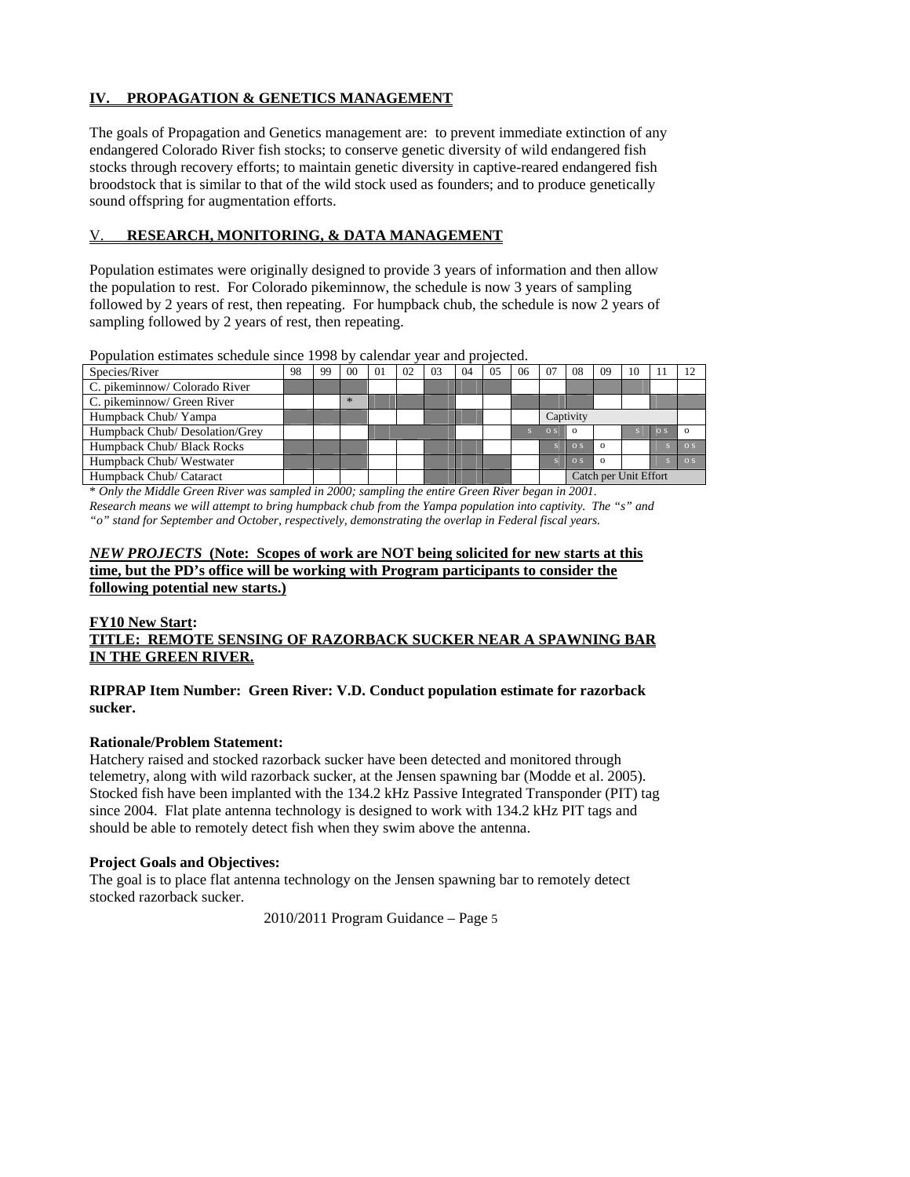# **IV. PROPAGATION & GENETICS MANAGEMENT**

The goals of Propagation and Genetics management are: to prevent immediate extinction of any endangered Colorado River fish stocks; to conserve genetic diversity of wild endangered fish stocks through recovery efforts; to maintain genetic diversity in captive-reared endangered fish broodstock that is similar to that of the wild stock used as founders; and to produce genetically sound offspring for augmentation efforts.

## V. **RESEARCH, MONITORING, & DATA MANAGEMENT**

Population estimates were originally designed to provide 3 years of information and then allow the population to rest. For Colorado pikeminnow, the schedule is now 3 years of sampling followed by 2 years of rest, then repeating. For humpback chub, the schedule is now 2 years of sampling followed by 2 years of rest, then repeating.

Population estimates schedule since 1998 by calendar year and projected.

| Species/River                  | 98 | 99 | 0 <sup>0</sup> | $\Omega$ | 02 | 0 <sup>3</sup> | 04 | 0.5 | 06 | 07               | 08             | 09                    | 10 |            | 12             |
|--------------------------------|----|----|----------------|----------|----|----------------|----|-----|----|------------------|----------------|-----------------------|----|------------|----------------|
| C. pikeminnow/ Colorado River  |    |    |                |          |    |                |    |     |    |                  |                |                       |    |            |                |
| C. pikeminnow/ Green River     |    |    | $*$            |          |    |                |    |     |    |                  |                |                       |    |            |                |
| Humpback Chub/Yampa            |    |    |                |          |    |                |    |     |    | Captivity        |                |                       |    |            |                |
| Humpback Chub/ Desolation/Grey |    |    |                |          |    |                |    |     |    | $\overline{O}$ S | $\Omega$       |                       |    | $\Omega$ S |                |
| Humpback Chub/ Black Rocks     |    |    |                |          |    |                |    |     |    |                  | O <sub>S</sub> | $\Omega$              |    |            | $\Omega$       |
| Humpback Chub/Westwater        |    |    |                |          |    |                |    |     |    |                  | O <sub>S</sub> | $\Omega$              |    |            | O <sub>S</sub> |
| Humpback Chub/ Cataract        |    |    |                |          |    |                |    |     |    |                  |                | Catch per Unit Effort |    |            |                |

\* *Only the Middle Green River was sampled in 2000; sampling the entire Green River began in 2001. Research means we will attempt to bring humpback chub from the Yampa population into captivity. The "s" and "o" stand for September and October, respectively, demonstrating the overlap in Federal fiscal years.*

## *NEW PROJECTS* **(Note: Scopes of work are NOT being solicited for new starts at this time, but the PD's office will be working with Program participants to consider the following potential new starts.)**

#### **FY10 New Start: TITLE: REMOTE SENSING OF RAZORBACK SUCKER NEAR A SPAWNING BAR IN THE GREEN RIVER.**

## **RIPRAP Item Number: Green River: V.D. Conduct population estimate for razorback sucker.**

## **Rationale/Problem Statement:**

Hatchery raised and stocked razorback sucker have been detected and monitored through telemetry, along with wild razorback sucker, at the Jensen spawning bar (Modde et al. 2005). Stocked fish have been implanted with the 134.2 kHz Passive Integrated Transponder (PIT) tag since 2004. Flat plate antenna technology is designed to work with 134.2 kHz PIT tags and should be able to remotely detect fish when they swim above the antenna.

## **Project Goals and Objectives:**

The goal is to place flat antenna technology on the Jensen spawning bar to remotely detect stocked razorback sucker.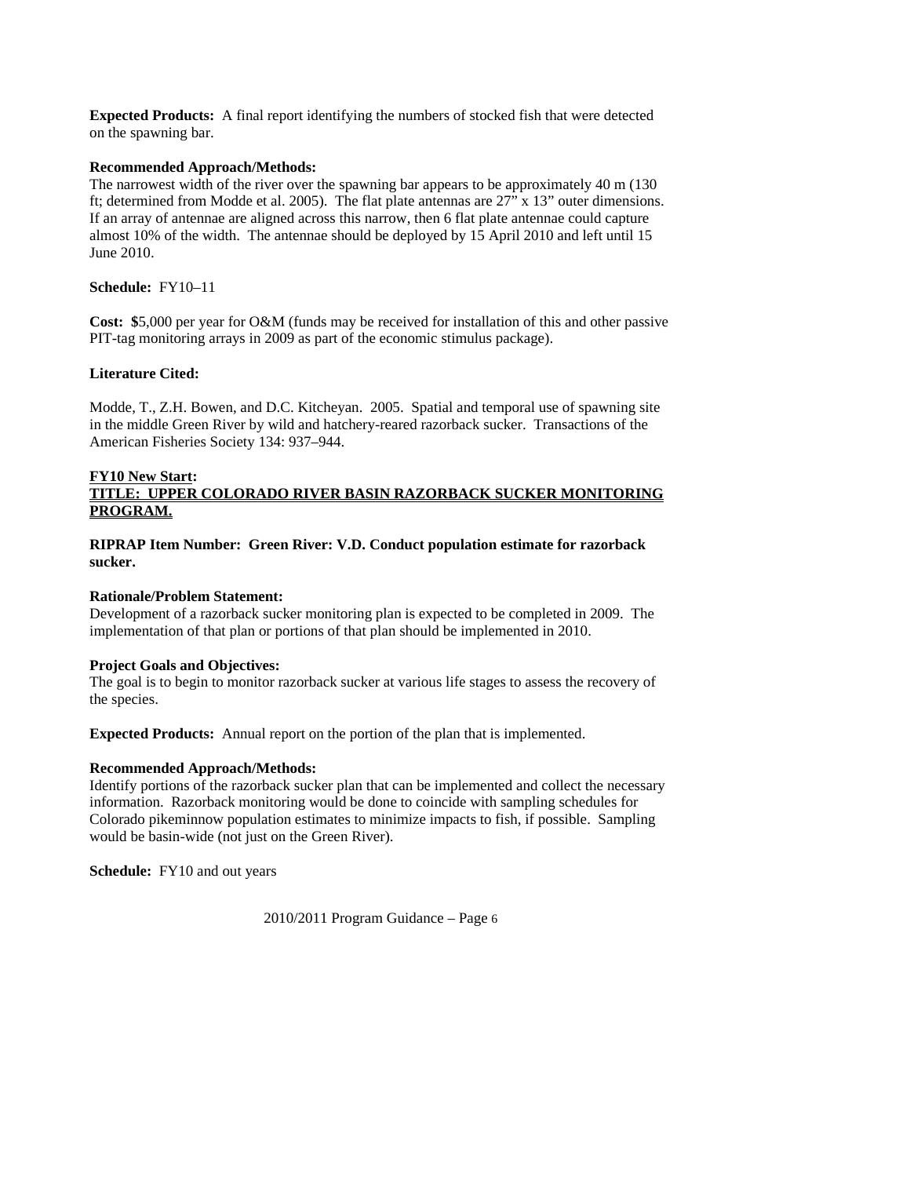**Expected Products:** A final report identifying the numbers of stocked fish that were detected on the spawning bar.

## **Recommended Approach/Methods:**

The narrowest width of the river over the spawning bar appears to be approximately 40 m (130 ft; determined from Modde et al. 2005). The flat plate antennas are 27" x 13" outer dimensions. If an array of antennae are aligned across this narrow, then 6 flat plate antennae could capture almost 10% of the width. The antennae should be deployed by 15 April 2010 and left until 15 June 2010.

### **Schedule:** FY10–11

**Cost: \$**5,000 per year for O&M (funds may be received for installation of this and other passive PIT-tag monitoring arrays in 2009 as part of the economic stimulus package).

### **Literature Cited:**

Modde, T., Z.H. Bowen, and D.C. Kitcheyan. 2005. Spatial and temporal use of spawning site in the middle Green River by wild and hatchery-reared razorback sucker. Transactions of the American Fisheries Society 134: 937–944.

#### **FY10 New Start:**

# **TITLE: UPPER COLORADO RIVER BASIN RAZORBACK SUCKER MONITORING PROGRAM.**

### **RIPRAP Item Number: Green River: V.D. Conduct population estimate for razorback sucker.**

### **Rationale/Problem Statement:**

Development of a razorback sucker monitoring plan is expected to be completed in 2009. The implementation of that plan or portions of that plan should be implemented in 2010.

#### **Project Goals and Objectives:**

The goal is to begin to monitor razorback sucker at various life stages to assess the recovery of the species.

**Expected Products:** Annual report on the portion of the plan that is implemented.

## **Recommended Approach/Methods:**

Identify portions of the razorback sucker plan that can be implemented and collect the necessary information. Razorback monitoring would be done to coincide with sampling schedules for Colorado pikeminnow population estimates to minimize impacts to fish, if possible. Sampling would be basin-wide (not just on the Green River).

**Schedule:** FY10 and out years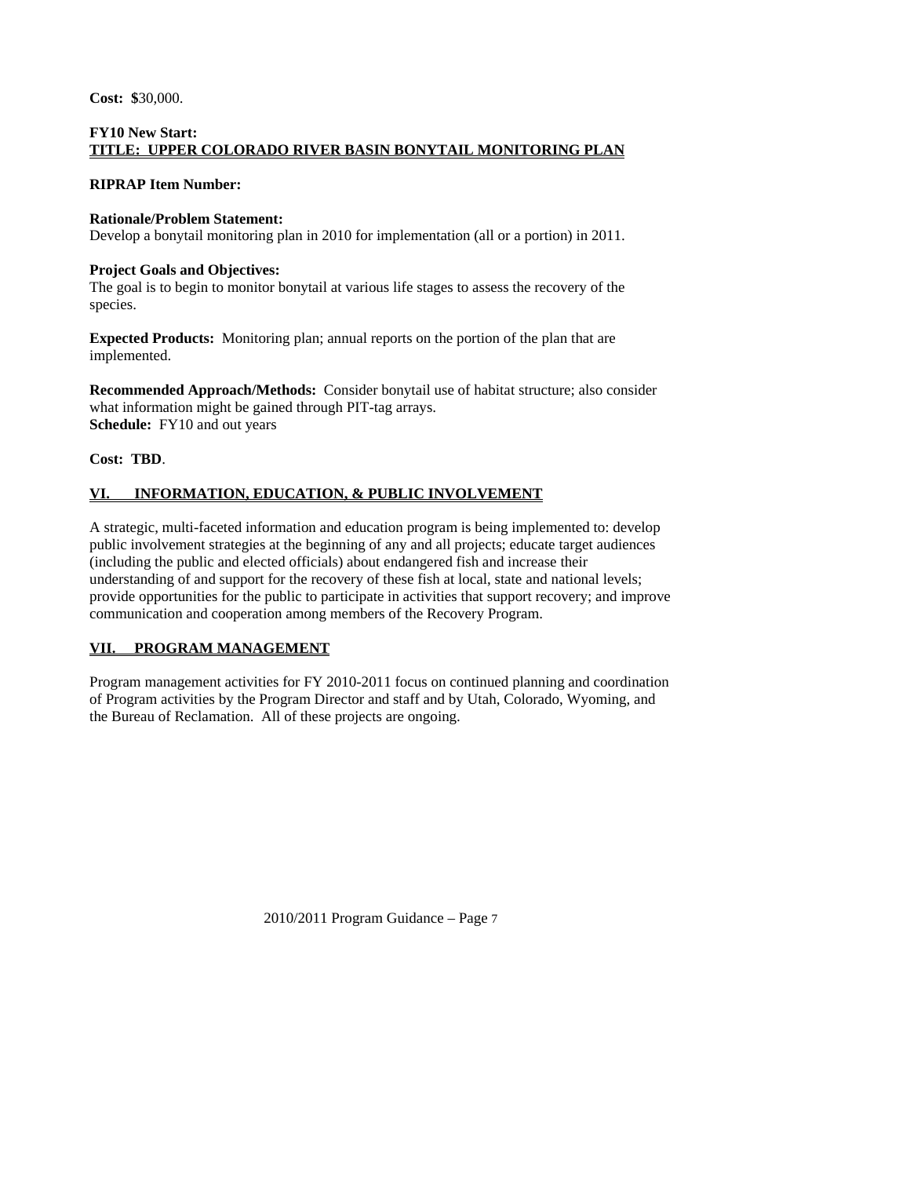**Cost: \$**30,000.

### **FY10 New Start: TITLE: UPPER COLORADO RIVER BASIN BONYTAIL MONITORING PLAN**

### **RIPRAP Item Number:**

### **Rationale/Problem Statement:**

Develop a bonytail monitoring plan in 2010 for implementation (all or a portion) in 2011.

### **Project Goals and Objectives:**

The goal is to begin to monitor bonytail at various life stages to assess the recovery of the species.

**Expected Products:** Monitoring plan; annual reports on the portion of the plan that are implemented.

**Recommended Approach/Methods:** Consider bonytail use of habitat structure; also consider what information might be gained through PIT-tag arrays. **Schedule:** FY10 and out years

**Cost: TBD**.

# **VI. INFORMATION, EDUCATION, & PUBLIC INVOLVEMENT**

A strategic, multi-faceted information and education program is being implemented to: develop public involvement strategies at the beginning of any and all projects; educate target audiences (including the public and elected officials) about endangered fish and increase their understanding of and support for the recovery of these fish at local, state and national levels; provide opportunities for the public to participate in activities that support recovery; and improve communication and cooperation among members of the Recovery Program.

## **VII. PROGRAM MANAGEMENT**

Program management activities for FY 2010-2011 focus on continued planning and coordination of Program activities by the Program Director and staff and by Utah, Colorado, Wyoming, and the Bureau of Reclamation. All of these projects are ongoing.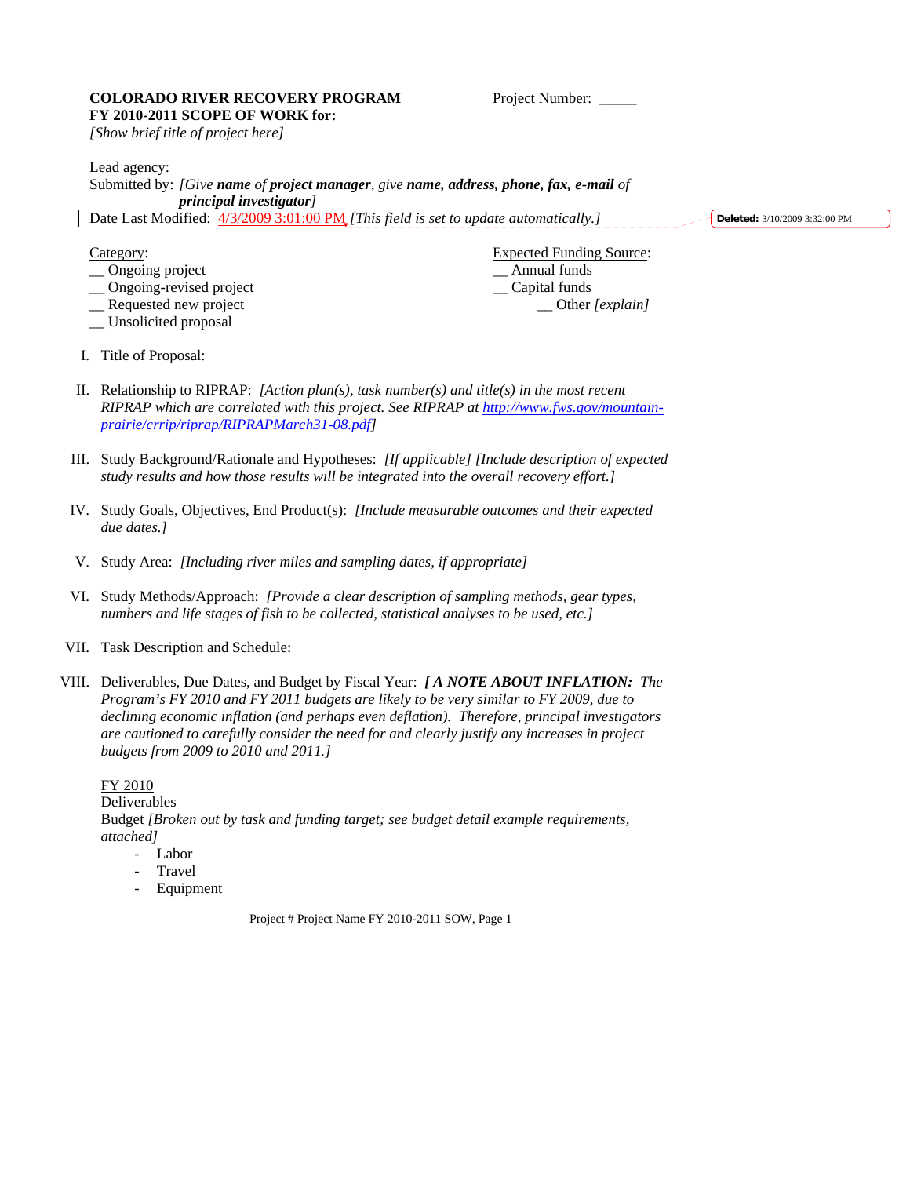#### COLORADO RIVER RECOVERY PROGRAM Project Number: \_\_\_\_ **FY 2010-2011 SCOPE OF WORK for:**

*[Show brief title of project here]* 

Lead agency:

Submitted by: *[Give name of project manager, give name, address, phone, fax, e-mail of principal investigator]* Date Last Modified: 4/3/2009 3:01:00 PM *[This field is set to update automatically.]* 

**Deleted:** 3/10/2009 3:32:00 PM

- \_\_ Ongoing project \_\_ Annual funds
- \_\_ Ongoing-revised project \_\_ Capital funds
- 
- \_\_ Unsolicited proposal

Category: Expected Funding Source: \_\_ Requested new project \_\_ Other *[explain]*

- I. Title of Proposal:
- II. Relationship to RIPRAP: *[Action plan(s), task number(s) and title(s) in the most recent RIPRAP which are correlated with this project. See RIPRAP at http://www.fws.gov/mountainprairie/crrip/riprap/RIPRAPMarch31-08.pdf]*
- III. Study Background/Rationale and Hypotheses: *[If applicable] [Include description of expected study results and how those results will be integrated into the overall recovery effort.]*
- IV. Study Goals, Objectives, End Product(s): *[Include measurable outcomes and their expected due dates.]*
- V. Study Area: *[Including river miles and sampling dates, if appropriate]*
- VI. Study Methods/Approach: *[Provide a clear description of sampling methods, gear types, numbers and life stages of fish to be collected, statistical analyses to be used, etc.]*
- VII. Task Description and Schedule:
- VIII. Deliverables, Due Dates, and Budget by Fiscal Year: *[ A NOTE ABOUT INFLATION: The Program's FY 2010 and FY 2011 budgets are likely to be very similar to FY 2009, due to declining economic inflation (and perhaps even deflation). Therefore, principal investigators are cautioned to carefully consider the need for and clearly justify any increases in project budgets from 2009 to 2010 and 2011.]*

FY 2010 Deliverables Budget *[Broken out by task and funding target; see budget detail example requirements, attached]* - Labor

- **Travel**
- 
- **Equipment**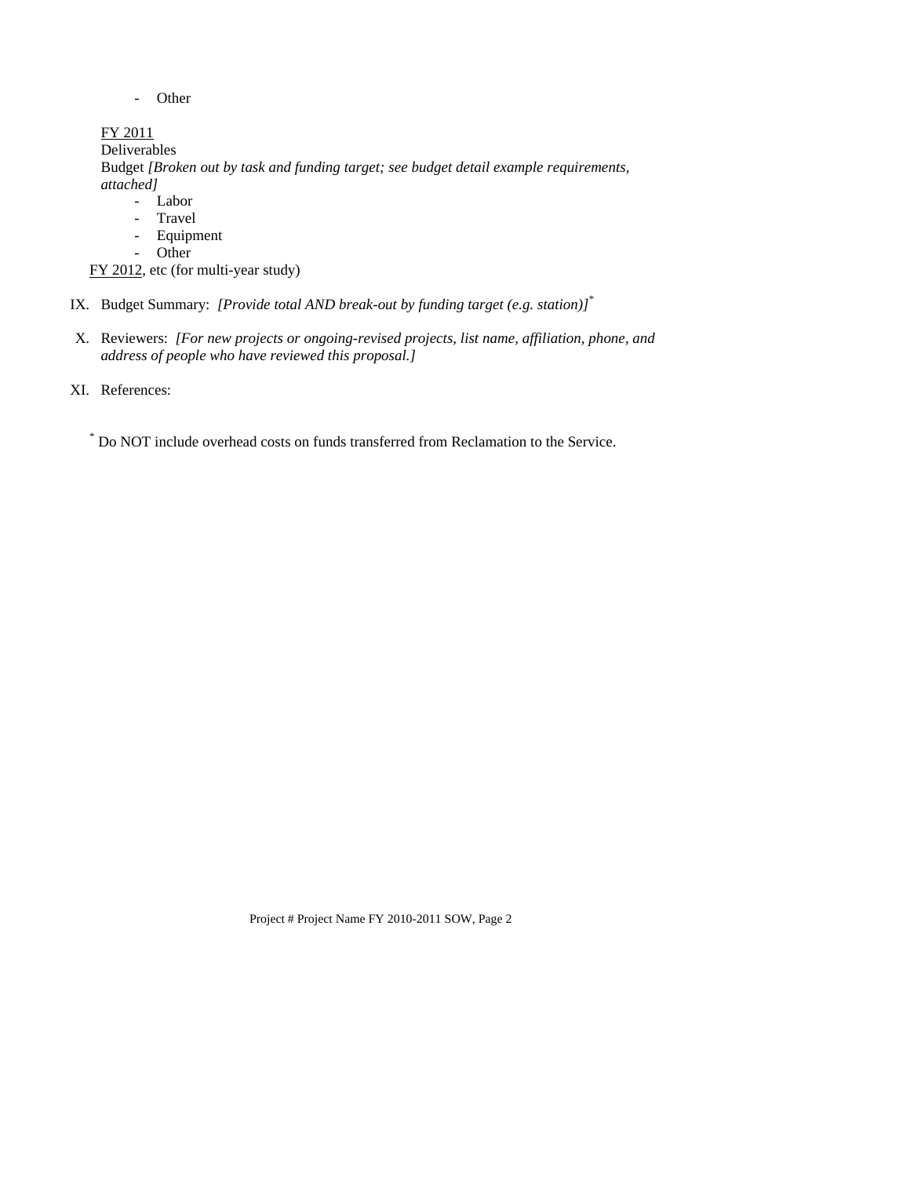- Other

FY 2011 Deliverables Budget *[Broken out by task and funding target; see budget detail example requirements, attached]* - Labor - Travel - Equipment

- Other

FY 2012, etc (for multi-year study)

IX. Budget Summary: *[Provide total AND break-out by funding target (e.g. station)]*\*

X. Reviewers: *[For new projects or ongoing-revised projects, list name, affiliation, phone, and address of people who have reviewed this proposal.]*

XI. References:

\* Do NOT include overhead costs on funds transferred from Reclamation to the Service.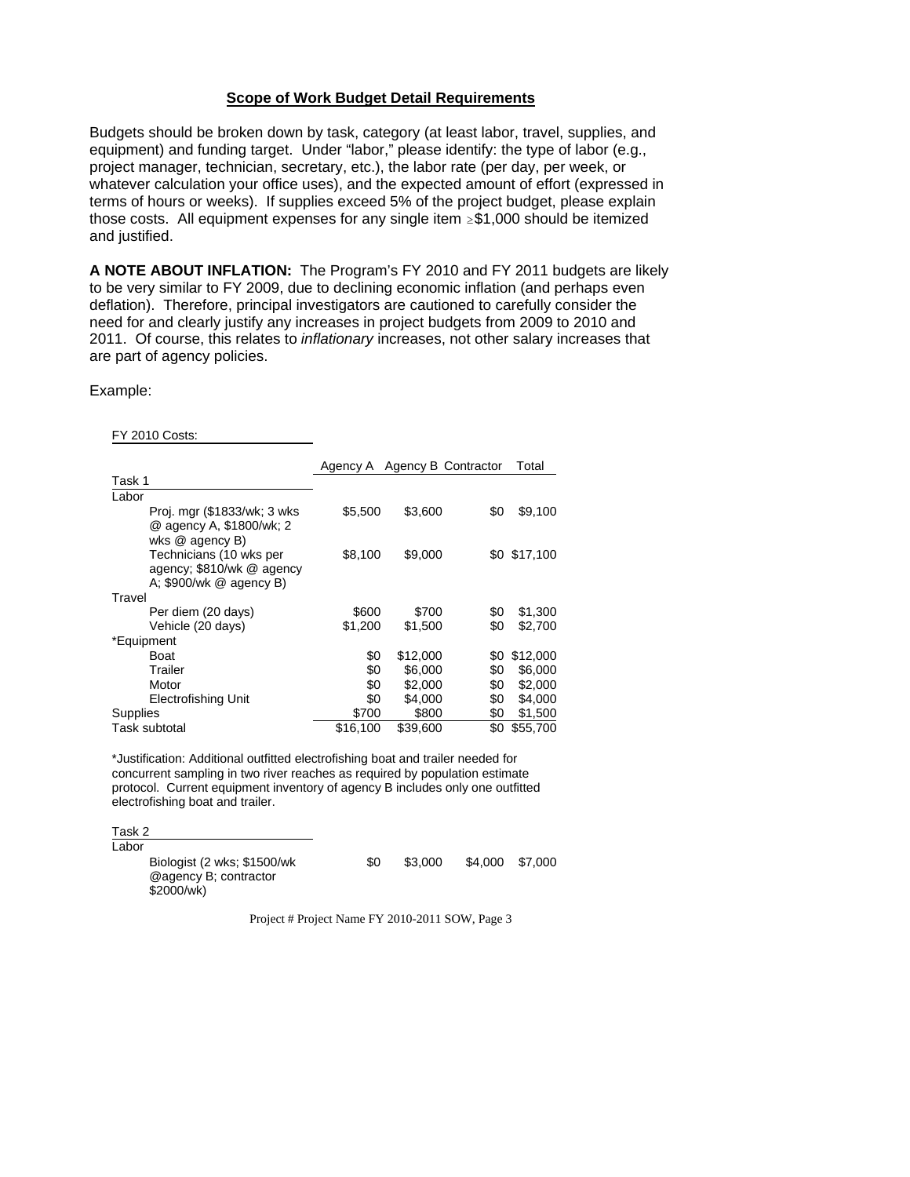## **Scope of Work Budget Detail Requirements**

Budgets should be broken down by task, category (at least labor, travel, supplies, and equipment) and funding target. Under "labor," please identify: the type of labor (e.g., project manager, technician, secretary, etc.), the labor rate (per day, per week, or whatever calculation your office uses), and the expected amount of effort (expressed in terms of hours or weeks). If supplies exceed 5% of the project budget, please explain those costs. All equipment expenses for any single item  $\geq$ \$1,000 should be itemized and justified.

**A NOTE ABOUT INFLATION:** The Program's FY 2010 and FY 2011 budgets are likely to be very similar to FY 2009, due to declining economic inflation (and perhaps even deflation). Therefore, principal investigators are cautioned to carefully consider the need for and clearly justify any increases in project budgets from 2009 to 2010 and 2011. Of course, this relates to *inflationary* increases, not other salary increases that are part of agency policies.

### Example:

FY 2010 Costs:

|                                                                                    |          | Agency A Agency B Contractor |     | Total        |
|------------------------------------------------------------------------------------|----------|------------------------------|-----|--------------|
| Task 1                                                                             |          |                              |     |              |
| Labor                                                                              |          |                              |     |              |
| Proj. mgr (\$1833/wk; 3 wks)<br>@ agency A, \$1800/wk; 2<br>wks $@$ agency $B$ )   | \$5,500  | \$3,600                      | \$0 | \$9,100      |
| Technicians (10 wks per<br>agency; \$810/wk @ agency<br>A: $$900/wk \ @$ agency B) | \$8,100  | \$9,000                      |     | \$0 \$17,100 |
| Travel                                                                             |          |                              |     |              |
| Per diem (20 days)                                                                 | \$600    | \$700                        | \$0 | \$1,300      |
| Vehicle (20 days)                                                                  | \$1,200  | \$1,500                      | \$0 | \$2,700      |
| *Equipment                                                                         |          |                              |     |              |
| <b>Boat</b>                                                                        | \$0      | \$12,000                     | \$0 | \$12,000     |
| Trailer                                                                            | \$0      | \$6,000                      | \$0 | \$6,000      |
| Motor                                                                              | \$0      | \$2,000                      | \$0 | \$2,000      |
| Electrofishing Unit                                                                | \$0      | \$4,000                      | \$0 | \$4,000      |
| Supplies                                                                           | \$700    | \$800                        | \$0 | \$1,500      |
| Task subtotal                                                                      | \$16,100 | \$39,600                     | \$0 | \$55,700     |

\*Justification: Additional outfitted electrofishing boat and trailer needed for concurrent sampling in two river reaches as required by population estimate protocol. Current equipment inventory of agency B includes only one outfitted electrofishing boat and trailer.

Task 2

| Labor |                                                                    |     |         |         |         |
|-------|--------------------------------------------------------------------|-----|---------|---------|---------|
|       | Biologist (2 wks; \$1500/wk<br>@agency B: contractor<br>\$2000/wk) | \$0 | \$3,000 | \$4.000 | \$7.000 |